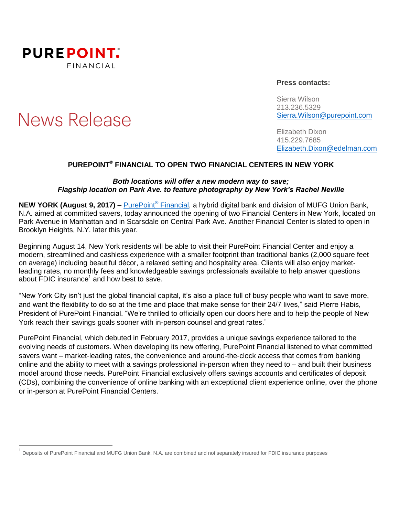

# **News Release**

 $\overline{a}$ 

#### **Press contacts:**

Sierra Wilson 213.236.5329 [Sierra.Wilson@purepoint.com](mailto:Sierra.Wilson@purepoint.com)

Elizabeth Dixon 415.229.7685 [Elizabeth.Dixon@edelman.com](mailto:Elizabeth.Dixon@edelman.com)

## **PUREPOINT ® FINANCIAL TO OPEN TWO FINANCIAL CENTERS IN NEW YORK**

#### *Both locations will offer a new modern way to save; Flagship location on Park Ave. to feature photography by New York's Rachel Neville*

**NEW YORK (August 9, 2017)** – [PurePoint](https://www.purepoint.com/)® Financial, a hybrid digital bank and division of MUFG Union Bank, N.A. aimed at committed savers, today announced the opening of two Financial Centers in New York, located on Park Avenue in Manhattan and in Scarsdale on Central Park Ave. Another Financial Center is slated to open in Brooklyn Heights, N.Y. later this year.

Beginning August 14, New York residents will be able to visit their PurePoint Financial Center and enjoy a modern, streamlined and cashless experience with a smaller footprint than traditional banks (2,000 square feet on average) including beautiful décor, a relaxed setting and hospitality area. Clients will also enjoy marketleading rates, no monthly fees and knowledgeable savings professionals available to help answer questions about  $FDIC$  insurance<sup>1</sup> and how best to save.

"New York City isn't just the global financial capital, it's also a place full of busy people who want to save more, and want the flexibility to do so at the time and place that make sense for their 24/7 lives," said Pierre Habis, President of PurePoint Financial. "We're thrilled to officially open our doors here and to help the people of New York reach their savings goals sooner with in-person counsel and great rates."

PurePoint Financial, which debuted in February 2017, provides a unique savings experience tailored to the evolving needs of customers. When developing its new offering, PurePoint Financial listened to what committed savers want – market-leading rates, the convenience and around-the-clock access that comes from banking online and the ability to meet with a savings professional in-person when they need to – and built their business model around those needs. PurePoint Financial exclusively offers savings accounts and certificates of deposit (CDs), combining the convenience of online banking with an exceptional client experience online, over the phone or in-person at PurePoint Financial Centers.

<sup>&</sup>lt;sup>1</sup> Deposits of PurePoint Financial and MUFG Union Bank, N.A. are combined and not separately insured for FDIC insurance purposes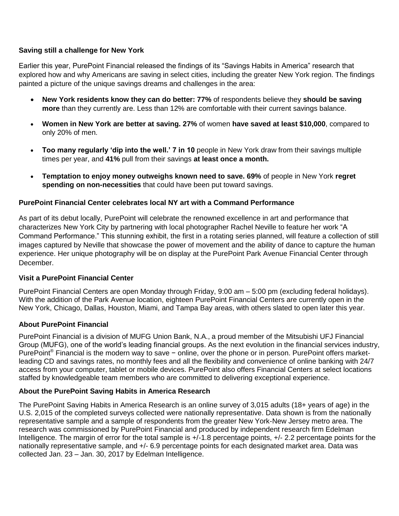## **Saving still a challenge for New York**

Earlier this year, PurePoint Financial released the findings of its "Savings Habits in America" research that explored how and why Americans are saving in select cities, including the greater New York region. The findings painted a picture of the unique savings dreams and challenges in the area:

- **New York residents know they can do better: 77%** of respondents believe they **should be saving more** than they currently are. Less than 12% are comfortable with their current savings balance.
- **Women in New York are better at saving. 27%** of women **have saved at least \$10,000**, compared to only 20% of men.
- **Too many regularly 'dip into the well.' 7 in 10** people in New York draw from their savings multiple times per year, and **41%** pull from their savings **at least once a month.**
- **Temptation to enjoy money outweighs known need to save. 69%** of people in New York **regret spending on non-necessities** that could have been put toward savings.

### **PurePoint Financial Center celebrates local NY art with a Command Performance**

As part of its debut locally, PurePoint will celebrate the renowned excellence in art and performance that characterizes New York City by partnering with local photographer Rachel Neville to feature her work "A Command Performance." This stunning exhibit, the first in a rotating series planned, will feature a collection of still images captured by Neville that showcase the power of movement and the ability of dance to capture the human experience. Her unique photography will be on display at the PurePoint Park Avenue Financial Center through December.

#### **Visit a PurePoint Financial Center**

PurePoint Financial Centers are open Monday through Friday, 9:00 am – 5:00 pm (excluding federal holidays). With the addition of the Park Avenue location, eighteen PurePoint Financial Centers are currently open in the New York, Chicago, Dallas, Houston, Miami, and Tampa Bay areas, with others slated to open later this year.

#### **About PurePoint Financial**

PurePoint Financial is a division of MUFG Union Bank, N.A., a proud member of the Mitsubishi UFJ Financial Group (MUFG), one of the world's leading financial groups. As the next evolution in the financial services industry, PurePoint<sup>®</sup> Financial is the modern way to save − online, over the phone or in person. PurePoint offers marketleading CD and savings rates, no monthly fees and all the flexibility and convenience of online banking with 24/7 access from your computer, tablet or mobile devices. PurePoint also offers Financial Centers at select locations staffed by knowledgeable team members who are committed to delivering exceptional experience.

#### **About the PurePoint Saving Habits in America Research**

The PurePoint Saving Habits in America Research is an online survey of 3,015 adults (18+ years of age) in the U.S. 2,015 of the completed surveys collected were nationally representative. Data shown is from the nationally representative sample and a sample of respondents from the greater New York-New Jersey metro area. The research was commissioned by PurePoint Financial and produced by independent research firm Edelman Intelligence. The margin of error for the total sample is  $+/-1.8$  percentage points,  $+/-2.2$  percentage points for the nationally representative sample, and +/- 6.9 percentage points for each designated market area. Data was collected Jan. 23 – Jan. 30, 2017 by Edelman Intelligence.